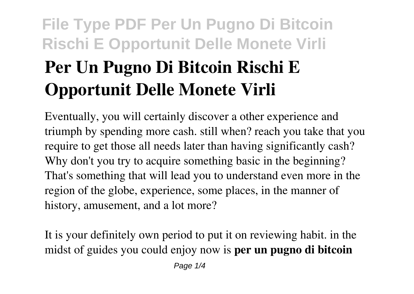# **Per Un Pugno Di Bitcoin Rischi E Opportunit Delle Monete Virli**

Eventually, you will certainly discover a other experience and triumph by spending more cash. still when? reach you take that you require to get those all needs later than having significantly cash? Why don't you try to acquire something basic in the beginning? That's something that will lead you to understand even more in the region of the globe, experience, some places, in the manner of history, amusement, and a lot more?

It is your definitely own period to put it on reviewing habit. in the midst of guides you could enjoy now is **per un pugno di bitcoin**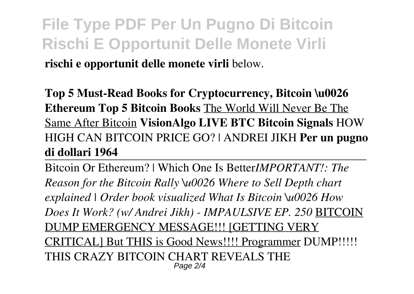**rischi e opportunit delle monete virli** below.

**Top 5 Must-Read Books for Cryptocurrency, Bitcoin \u0026 Ethereum Top 5 Bitcoin Books** The World Will Never Be The Same After Bitcoin **VisionAlgo LIVE BTC Bitcoin Signals** HOW HIGH CAN BITCOIN PRICE GO? | ANDREI JIKH **Per un pugno di dollari 1964**

Bitcoin Or Ethereum? | Which One Is Better*IMPORTANT!: The Reason for the Bitcoin Rally \u0026 Where to Sell Depth chart explained | Order book visualized What Is Bitcoin \u0026 How Does It Work? (w/ Andrei Jikh) - IMPAULSIVE EP. 250* BITCOIN DUMP EMERGENCY MESSAGE!!! [GETTING VERY CRITICAL] But THIS is Good News!!!! Programmer DUMP!!!!! THIS CRAZY BITCOIN CHART REVEALS THE Page  $2/4$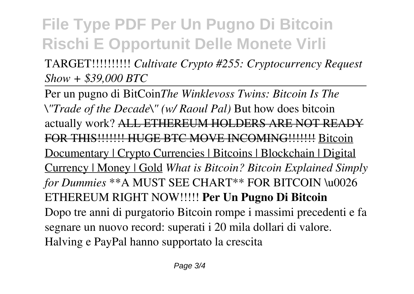TARGET!!!!!!!!!! *Cultivate Crypto #255: Cryptocurrency Request Show + \$39,000 BTC*

Per un pugno di BitCoin*The Winklevoss Twins: Bitcoin Is The \"Trade of the Decade\" (w/ Raoul Pal)* But how does bitcoin actually work? ALL ETHEREUM HOLDERS ARE NOT READY FOR THIS!!!!!!! HUGE BTC MOVE INCOMING!!!!!!! Bitcoin Documentary | Crypto Currencies | Bitcoins | Blockchain | Digital Currency | Money | Gold *What is Bitcoin? Bitcoin Explained Simply for Dummies* \*\*A MUST SEE CHART\*\* FOR BITCOIN \u0026 ETHEREUM RIGHT NOW!!!!! **Per Un Pugno Di Bitcoin** Dopo tre anni di purgatorio Bitcoin rompe i massimi precedenti e fa segnare un nuovo record: superati i 20 mila dollari di valore. Halving e PayPal hanno supportato la crescita